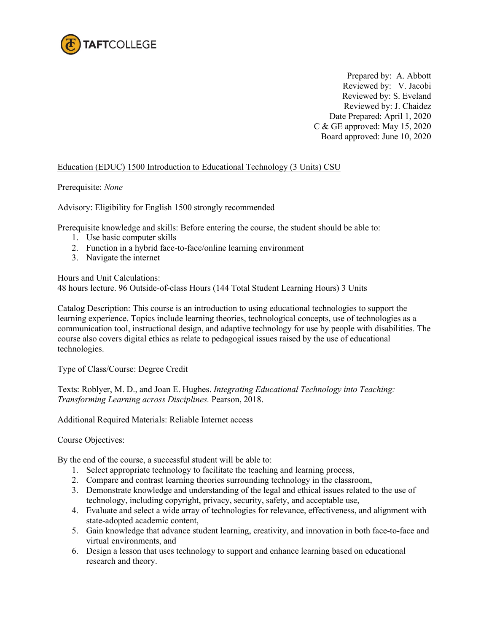

Prepared by: A. Abbott Reviewed by: V. Jacobi Reviewed by: S. Eveland Reviewed by: J. Chaidez Date Prepared: April 1, 2020 C & GE approved: May 15, 2020 Board approved: June 10, 2020

## Education (EDUC) 1500 Introduction to Educational Technology (3 Units) CSU

## Prerequisite: *None*

Advisory: Eligibility for English 1500 strongly recommended

Prerequisite knowledge and skills: Before entering the course, the student should be able to:

- 1. Use basic computer skills
- 2. Function in a hybrid face-to-face/online learning environment
- 3. Navigate the internet

Hours and Unit Calculations:

48 hours lecture. 96 Outside-of-class Hours (144 Total Student Learning Hours) 3 Units

Catalog Description: This course is an introduction to using educational technologies to support the learning experience. Topics include learning theories, technological concepts, use of technologies as a communication tool, instructional design, and adaptive technology for use by people with disabilities. The course also covers digital ethics as relate to pedagogical issues raised by the use of educational technologies.

Type of Class/Course: Degree Credit

Texts: Roblyer, M. D., and Joan E. Hughes. *Integrating Educational Technology into Teaching: Transforming Learning across Disciplines.* Pearson, 2018.

Additional Required Materials: Reliable Internet access

Course Objectives:

By the end of the course, a successful student will be able to:

- 1. Select appropriate technology to facilitate the teaching and learning process,
- 2. Compare and contrast learning theories surrounding technology in the classroom,
- 3. Demonstrate knowledge and understanding of the legal and ethical issues related to the use of technology, including copyright, privacy, security, safety, and acceptable use,
- 4. Evaluate and select a wide array of technologies for relevance, effectiveness, and alignment with state-adopted academic content,
- 5. Gain knowledge that advance student learning, creativity, and innovation in both face-to-face and virtual environments, and
- 6. Design a lesson that uses technology to support and enhance learning based on educational research and theory.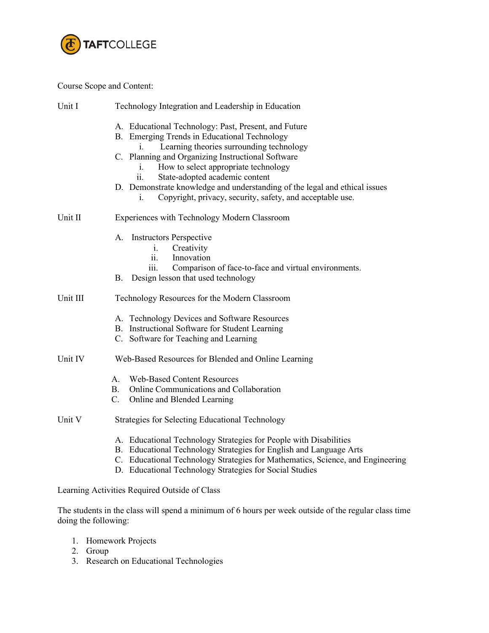

## Course Scope and Content:

| Unit I   | Technology Integration and Leadership in Education                                                                                                                                                                                                                                                                                                                                                                                            |  |  |
|----------|-----------------------------------------------------------------------------------------------------------------------------------------------------------------------------------------------------------------------------------------------------------------------------------------------------------------------------------------------------------------------------------------------------------------------------------------------|--|--|
|          | A. Educational Technology: Past, Present, and Future<br>B. Emerging Trends in Educational Technology<br>Learning theories surrounding technology<br>C. Planning and Organizing Instructional Software<br>How to select appropriate technology<br>i.<br>State-adopted academic content<br>11.<br>D. Demonstrate knowledge and understanding of the legal and ethical issues<br>Copyright, privacy, security, safety, and acceptable use.<br>1. |  |  |
| Unit II  | Experiences with Technology Modern Classroom                                                                                                                                                                                                                                                                                                                                                                                                  |  |  |
|          | A. Instructors Perspective<br>Creativity<br>$\mathbf{i}$ .<br>Innovation<br>11.<br>Comparison of face-to-face and virtual environments.<br>111.<br>Design lesson that used technology<br>Β.                                                                                                                                                                                                                                                   |  |  |
| Unit III | Technology Resources for the Modern Classroom                                                                                                                                                                                                                                                                                                                                                                                                 |  |  |
|          | A. Technology Devices and Software Resources<br>B. Instructional Software for Student Learning<br>C. Software for Teaching and Learning                                                                                                                                                                                                                                                                                                       |  |  |
| Unit IV  | Web-Based Resources for Blended and Online Learning                                                                                                                                                                                                                                                                                                                                                                                           |  |  |
|          | <b>Web-Based Content Resources</b><br>А.<br>Online Communications and Collaboration<br>B.<br>C.<br>Online and Blended Learning                                                                                                                                                                                                                                                                                                                |  |  |
| Unit V   | <b>Strategies for Selecting Educational Technology</b>                                                                                                                                                                                                                                                                                                                                                                                        |  |  |
|          | A. Educational Technology Strategies for People with Disabilities<br>B. Educational Technology Strategies for English and Language Arts<br>C. Educational Technology Strategies for Mathematics, Science, and Engineering<br>D. Educational Technology Strategies for Social Studies                                                                                                                                                          |  |  |

Learning Activities Required Outside of Class

The students in the class will spend a minimum of 6 hours per week outside of the regular class time doing the following:

- 1. Homework Projects
- 2. Group
- 3. Research on Educational Technologies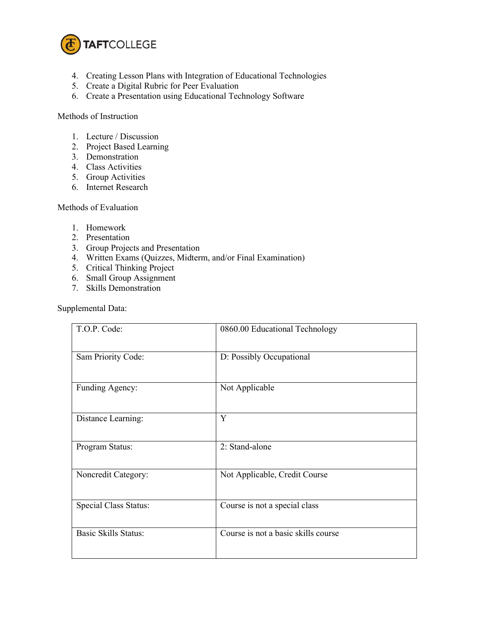

- 4. Creating Lesson Plans with Integration of Educational Technologies
- 5. Create a Digital Rubric for Peer Evaluation
- 6. Create a Presentation using Educational Technology Software

Methods of Instruction

- 1. Lecture / Discussion
- 2. Project Based Learning
- 3. Demonstration
- 4. Class Activities
- 5. Group Activities
- 6. Internet Research

Methods of Evaluation

- 1. Homework
- 2. Presentation
- 3. Group Projects and Presentation
- 4. Written Exams (Quizzes, Midterm, and/or Final Examination)
- 5. Critical Thinking Project
- 6. Small Group Assignment
- 7. Skills Demonstration

Supplemental Data:

| T.O.P. Code:                | 0860.00 Educational Technology      |
|-----------------------------|-------------------------------------|
| Sam Priority Code:          | D: Possibly Occupational            |
| Funding Agency:             | Not Applicable                      |
| Distance Learning:          | Y                                   |
| Program Status:             | 2: Stand-alone                      |
| Noncredit Category:         | Not Applicable, Credit Course       |
| Special Class Status:       | Course is not a special class       |
| <b>Basic Skills Status:</b> | Course is not a basic skills course |